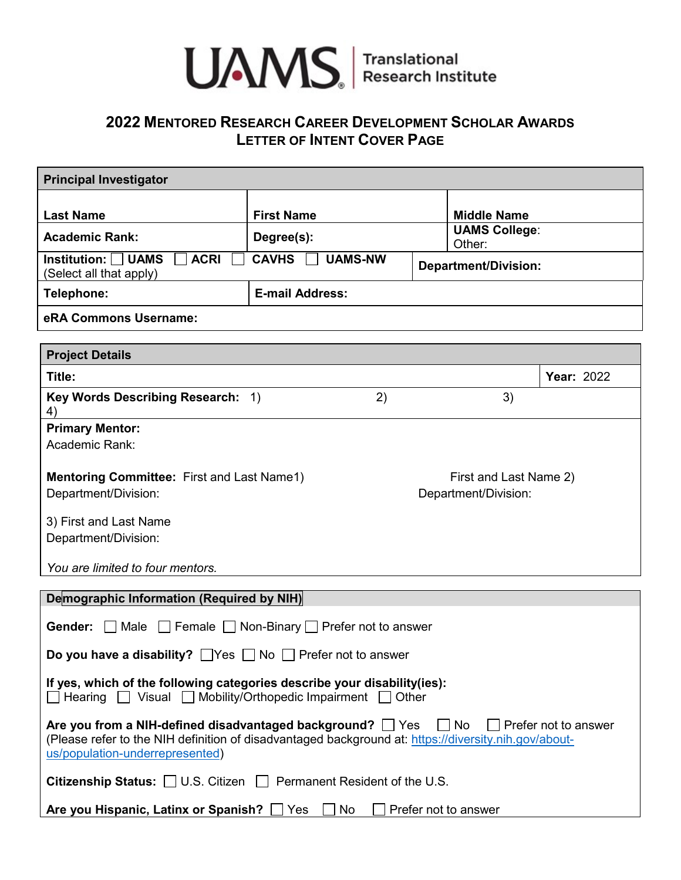

# **2022 MENTORED RESEARCH CAREER DEVELOPMENT SCHOLAR AWARDS LETTER OF INTENT COVER PAGE**

| <b>Principal Investigator</b>                                                                        |                        |                             |                                |
|------------------------------------------------------------------------------------------------------|------------------------|-----------------------------|--------------------------------|
| <b>Last Name</b>                                                                                     | <b>First Name</b>      |                             | <b>Middle Name</b>             |
| <b>Academic Rank:</b>                                                                                | Degree(s):             |                             | <b>UAMS College:</b><br>Other: |
| Institution: $\Box$ UAMS<br><b>ACRI</b><br><b>CAVHS</b><br><b>UAMS-NW</b><br>(Select all that apply) |                        | <b>Department/Division:</b> |                                |
| Telephone:                                                                                           | <b>E-mail Address:</b> |                             |                                |
| eRA Commons Username:                                                                                |                        |                             |                                |

| <b>Project Details</b>                                                    |    |                                                |                   |  |
|---------------------------------------------------------------------------|----|------------------------------------------------|-------------------|--|
| Title:                                                                    |    |                                                | <b>Year: 2022</b> |  |
| Key Words Describing Research: 1)<br>4)                                   | 2) | 3)                                             |                   |  |
| <b>Primary Mentor:</b>                                                    |    |                                                |                   |  |
| Academic Rank:                                                            |    |                                                |                   |  |
| <b>Mentoring Committee: First and Last Name1)</b><br>Department/Division: |    | First and Last Name 2)<br>Department/Division: |                   |  |
| 3) First and Last Name                                                    |    |                                                |                   |  |
| Department/Division:                                                      |    |                                                |                   |  |
| You are limited to four mentors.                                          |    |                                                |                   |  |

| Demographic Information (Required by NIH)                                                                                                                                                                                                        |  |  |
|--------------------------------------------------------------------------------------------------------------------------------------------------------------------------------------------------------------------------------------------------|--|--|
| <b>Gender:</b> Male Female Non-Binary Prefer not to answer                                                                                                                                                                                       |  |  |
| <b>Do you have a disability?</b> $\Box$ Yes $\Box$ No $\Box$ Prefer not to answer                                                                                                                                                                |  |  |
| If yes, which of the following categories describe your disability (ies):<br>$\Box$ Hearing $\Box$ Visual $\Box$ Mobility/Orthopedic Impairment $\Box$ Other                                                                                     |  |  |
| Are you from a NIH-defined disadvantaged background? $\Box$ Yes $\Box$ No $\Box$ Prefer not to answer<br>(Please refer to the NIH definition of disadvantaged background at: https://diversity.nih.gov/about-<br>us/population-underrepresented) |  |  |
| <b>Citizenship Status:</b> $\Box$ U.S. Citizen $\Box$ Permanent Resident of the U.S.                                                                                                                                                             |  |  |
| Are you Hispanic, Latinx or Spanish? Thes<br>No.<br>Prefer not to answer                                                                                                                                                                         |  |  |